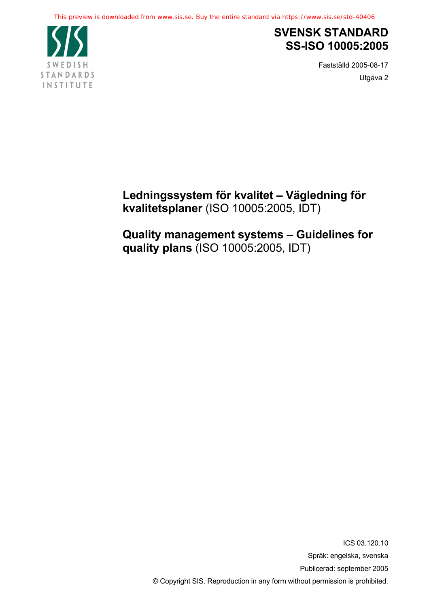

# **SVENSK STANDARD SS-ISO 10005:2005**

Fastställd 2005-08-17 Utgåva 2

**Ledningssystem för kvalitet – Vägledning för kvalitetsplaner** (ISO 10005:2005, IDT)

**Quality management systems – Guidelines for quality plans** (ISO 10005:2005, IDT)

> ICS 03.120.10 Språk: engelska, svenska Publicerad: september 2005 © Copyright SIS. Reproduction in any form without permission is prohibited.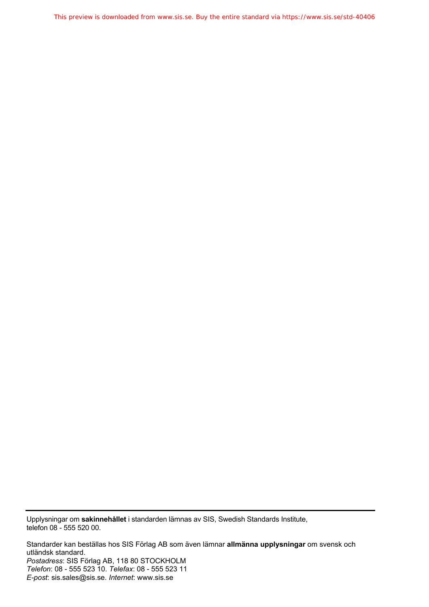This preview is downloaded from www.sis.se. Buy the entire standard via https://www.sis.se/std-40406

Upplysningar om **sakinnehållet** i standarden lämnas av SIS, Swedish Standards Institute, telefon 08 - 555 520 00.

Standarder kan beställas hos SIS Förlag AB som även lämnar **allmänna upplysningar** om svensk och utländsk standard. *Postadress*: SIS Förlag AB, 118 80 STOCKHOLM *Telefon*: 08 - 555 523 10. *Telefax*: 08 - 555 523 11 *E-post*: sis.sales@sis.se. *Internet*: www.sis.se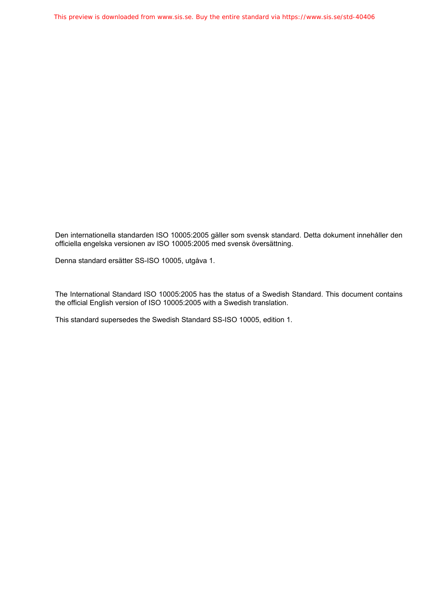Den internationella standarden ISO 10005:2005 gäller som svensk standard. Detta dokument innehåller den officiella engelska versionen av ISO 10005:2005 med svensk översättning.

Denna standard ersätter SS-ISO 10005, utgåva 1.

The International Standard ISO 10005:2005 has the status of a Swedish Standard. This document contains the official English version of ISO 10005:2005 with a Swedish translation.

This standard supersedes the Swedish Standard SS-ISO 10005, edition 1.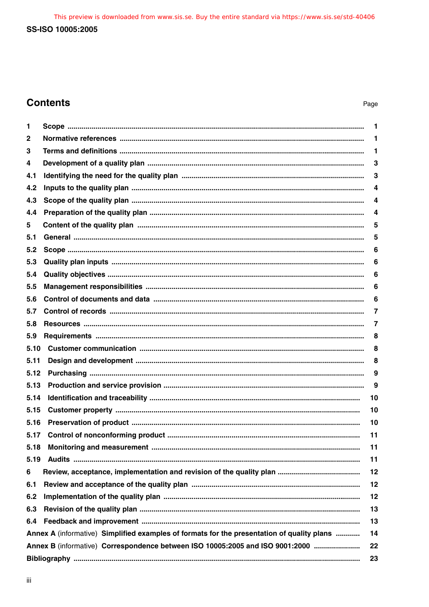This preview is downloaded from www.sis.se. Buy the entire standard via https://www.sis.se/std-40406 SS-ISO 10005:2005

# **Contents**

| 1    |                                                                                            | 1  |  |
|------|--------------------------------------------------------------------------------------------|----|--|
| 2    |                                                                                            | 1  |  |
| 3    |                                                                                            | 1  |  |
| 4    |                                                                                            | 3  |  |
| 4.1  |                                                                                            | 3  |  |
| 4.2  |                                                                                            | 4  |  |
| 4.3  |                                                                                            | 4  |  |
| 4.4  |                                                                                            | 4  |  |
| 5    |                                                                                            | 5  |  |
| 5.1  |                                                                                            | 5  |  |
| 5.2  |                                                                                            | 6  |  |
| 5.3  |                                                                                            | 6  |  |
| 5.4  |                                                                                            | 6  |  |
| 5.5  |                                                                                            | 6  |  |
| 5.6  |                                                                                            | 6  |  |
| 5.7  |                                                                                            | 7  |  |
| 5.8  |                                                                                            | 7  |  |
| 5.9  |                                                                                            | 8  |  |
| 5.10 |                                                                                            | 8  |  |
| 5.11 |                                                                                            | 8  |  |
| 5.12 |                                                                                            | 9  |  |
| 5.13 |                                                                                            | 9  |  |
| 5.14 |                                                                                            | 10 |  |
| 5.15 |                                                                                            | 10 |  |
| 5.16 |                                                                                            | 10 |  |
| 5.17 |                                                                                            | 11 |  |
| 5.18 |                                                                                            | 11 |  |
| 5.19 |                                                                                            | 11 |  |
| 6    |                                                                                            | 12 |  |
| 6.1  |                                                                                            | 12 |  |
| 6.2  |                                                                                            | 12 |  |
| 6.3  |                                                                                            | 13 |  |
| 6.4  |                                                                                            | 13 |  |
|      | Annex A (informative) Simplified examples of formats for the presentation of quality plans | 14 |  |
|      | Annex B (informative) Correspondence between ISO 10005:2005 and ISO 9001:2000<br>22        |    |  |
|      | 23                                                                                         |    |  |
|      |                                                                                            |    |  |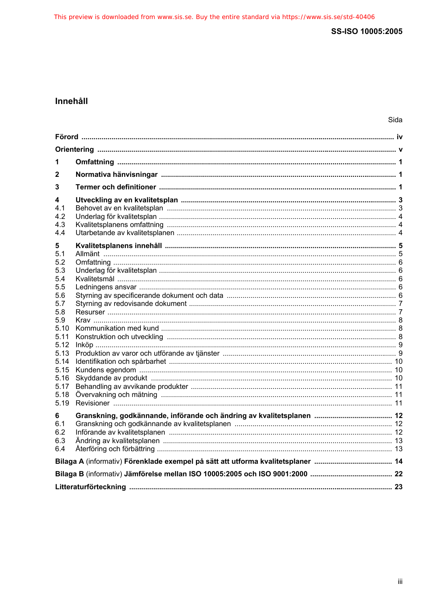## Innehåll

| 1                                                                                                                                                |  |  |  |
|--------------------------------------------------------------------------------------------------------------------------------------------------|--|--|--|
| 2                                                                                                                                                |  |  |  |
| 3                                                                                                                                                |  |  |  |
| 4<br>4.1<br>4.2<br>4.3<br>4.4                                                                                                                    |  |  |  |
| 5<br>5.1<br>5.2<br>5.3<br>5.4<br>5.5<br>5.6<br>5.7<br>5.8<br>5.9<br>5.10<br>5.11<br>5.12<br>5.13<br>5.14<br>5.15<br>5.16<br>5.17<br>5.18<br>5.19 |  |  |  |
| 6<br>6.1<br>6.2<br>6.3<br>6.4                                                                                                                    |  |  |  |
|                                                                                                                                                  |  |  |  |
|                                                                                                                                                  |  |  |  |
|                                                                                                                                                  |  |  |  |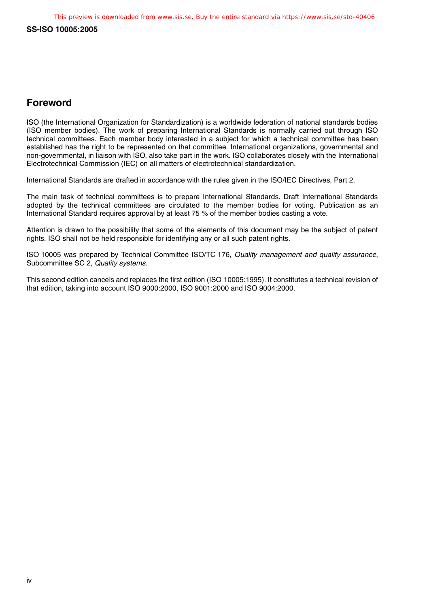## **Foreword**

ISO (the International Organization for Standardization) is a worldwide federation of national standards bodies (ISO member bodies). The work of preparing International Standards is normally carried out through ISO technical committees. Each member body interested in a subject for which a technical committee has been established has the right to be represented on that committee. International organizations, governmental and non-governmental, in liaison with ISO, also take part in the work. ISO collaborates closely with the International Electrotechnical Commission (IEC) on all matters of electrotechnical standardization.

International Standards are drafted in accordance with the rules given in the ISO/IEC Directives, Part 2.

The main task of technical committees is to prepare International Standards. Draft International Standards adopted by the technical committees are circulated to the member bodies for voting. Publication as an International Standard requires approval by at least 75 % of the member bodies casting a vote.

Attention is drawn to the possibility that some of the elements of this document may be the subject of patent rights. ISO shall not be held responsible for identifying any or all such patent rights.

ISO 10005 was prepared by Technical Committee ISO/TC 176, Quality management and quality assurance, Subcommittee SC 2, Quality systems.

This second edition cancels and replaces the first edition (ISO 10005:1995). It constitutes a technical revision of that edition, taking into account ISO 9000:2000, ISO 9001:2000 and ISO 9004:2000.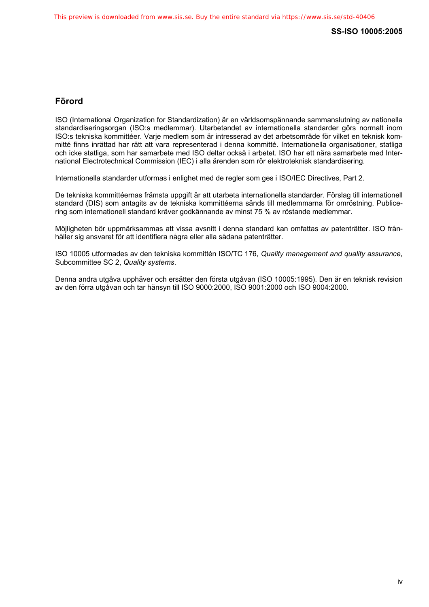### <span id="page-6-0"></span>**Förord**

ISO (International Organization for Standardization) är en världsomspännande sammanslutning av nationella standardiseringsorgan (ISO:s medlemmar). Utarbetandet av internationella standarder görs normalt inom ISO:s tekniska kommittéer. Varje medlem som är intresserad av det arbetsområde för vilket en teknisk kommitté finns inrättad har rätt att vara representerad i denna kommitté. Internationella organisationer, statliga och icke statliga, som har samarbete med ISO deltar också i arbetet. ISO har ett nära samarbete med International Electrotechnical Commission (IEC) i alla ärenden som rör elektroteknisk standardisering.

Internationella standarder utformas i enlighet med de regler som ges i ISO/IEC Directives, Part 2.

De tekniska kommittéernas främsta uppgift är att utarbeta internationella standarder. Förslag till internationell standard (DIS) som antagits av de tekniska kommittéerna sänds till medlemmarna för omröstning. Publicering som internationell standard kräver godkännande av minst 75 % av röstande medlemmar.

Möjligheten bör uppmärksammas att vissa avsnitt i denna standard kan omfattas av patenträtter. ISO frånhåller sig ansvaret för att identifiera några eller alla sådana patenträtter.

ISO 10005 utformades av den tekniska kommittén ISO/TC 176, *Quality management and quality assurance*, Subcommittee SC 2, *Quality systems*.

Denna andra utgåva upphäver och ersätter den första utgåvan (ISO 10005:1995). Den är en teknisk revision av den förra utgåvan och tar hänsyn till ISO 9000:2000, ISO 9001:2000 och ISO 9004:2000.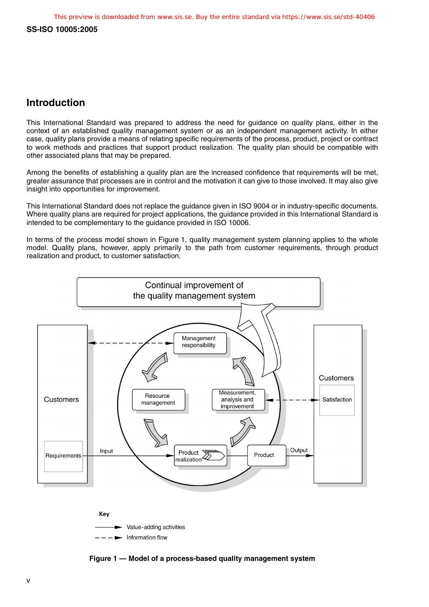## **Introduction**

This International Standard was prepared to address the need for guidance on quality plans, either in the context of an established quality management system or as an independent management activity. In either case, quality plans provide a means of relating specific requirements of the process, product, project or contract to work methods and practices that support product realization. The quality plan should be compatible with other associated plans that may be prepared.

Among the benefits of establishing a quality plan are the increased confidence that requirements will be met, greater assurance that processes are in control and the motivation it can give to those involved. It may also give insight into opportunities for improvement.

This International Standard does not replace the guidance given in ISO 9004 or in industry-specific documents. Where quality plans are required for project applications, the guidance provided in this International Standard is intended to be complementary to the guidance provided in ISO 10006.

In terms of the process model shown in Figure 1, quality management system planning applies to the whole model. Quality plans, however, apply primarily to the path from customer requirements, through product realization and product, to customer satisfaction.







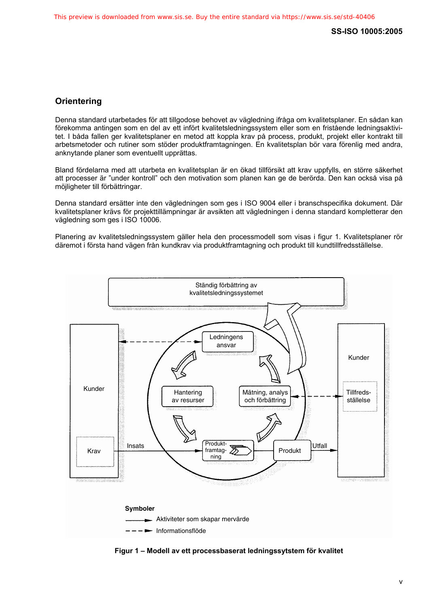### <span id="page-8-0"></span>**Orientering**

Denna standard utarbetades för att tillgodose behovet av vägledning ifråga om kvalitetsplaner. En sådan kan förekomma antingen som en del av ett infört kvalitetsledningssystem eller som en fristående ledningsaktivitet. I båda fallen ger kvalitetsplaner en metod att koppla krav på process, produkt, projekt eller kontrakt till arbetsmetoder och rutiner som stöder produktframtagningen. En kvalitetsplan bör vara förenlig med andra, anknytande planer som eventuellt upprättas.

Bland fördelarna med att utarbeta en kvalitetsplan är en ökad tillförsikt att krav uppfylls, en större säkerhet att processer är "under kontroll" och den motivation som planen kan ge de berörda. Den kan också visa på möjligheter till förbättringar.

Denna standard ersätter inte den vägledningen som ges i ISO 9004 eller i branschspecifika dokument. Där kvalitetsplaner krävs för projekttillämpningar är avsikten att vägledningen i denna standard kompletterar den vägledning som ges i ISO 10006.

Planering av kvalitetsledningssystem gäller hela den processmodell som visas i figur 1. Kvalitetsplaner rör däremot i första hand vägen från kundkrav via produktframtagning och produkt till kundtillfredsställelse.



**Figur 1 – Modell av ett processbaserat ledningssytstem för kvalitet**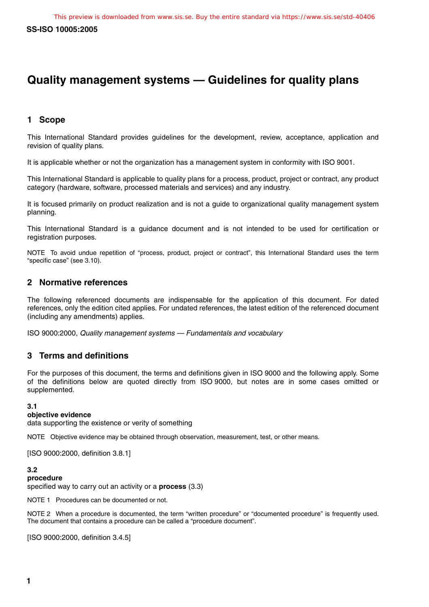# **Quality management systems — Guidelines for quality plans**

### **1 Scope**

This International Standard provides guidelines for the development, review, acceptance, application and revision of quality plans.

It is applicable whether or not the organization has a management system in conformity with ISO 9001.

This International Standard is applicable to quality plans for a process, product, project or contract, any product category (hardware, software, processed materials and services) and any industry.

It is focused primarily on product realization and is not a guide to organizational quality management system planning.

This International Standard is a guidance document and is not intended to be used for certification or registration purposes.

NOTE To avoid undue repetition of "process, product, project or contract", this International Standard uses the term "specific case" (see 3.10).

#### **2 Normative references**

The following referenced documents are indispensable for the application of this document. For dated references, only the edition cited applies. For undated references, the latest edition of the referenced document (including any amendments) applies.

ISO 9000:2000, Quality management systems — Fundamentals and vocabulary

#### **3 Terms and definitions**

For the purposes of this document, the terms and definitions given in ISO 9000 and the following apply. Some of the definitions below are quoted directly from ISO 9000, but notes are in some cases omitted or supplemented.

#### **3.1**

#### **objective evidence**

data supporting the existence or verity of something

NOTE Objective evidence may be obtained through observation, measurement, test, or other means.

[ISO 9000:2000, definition 3.8.1]

#### **3.2**

#### **procedure**

specified way to carry out an activity or a **process** (3.3)

NOTE 1 Procedures can be documented or not.

NOTE 2 When a procedure is documented, the term "written procedure" or "documented procedure" is frequently used. The document that contains a procedure can be called a "procedure document".

[ISO 9000:2000, definition 3.4.5]